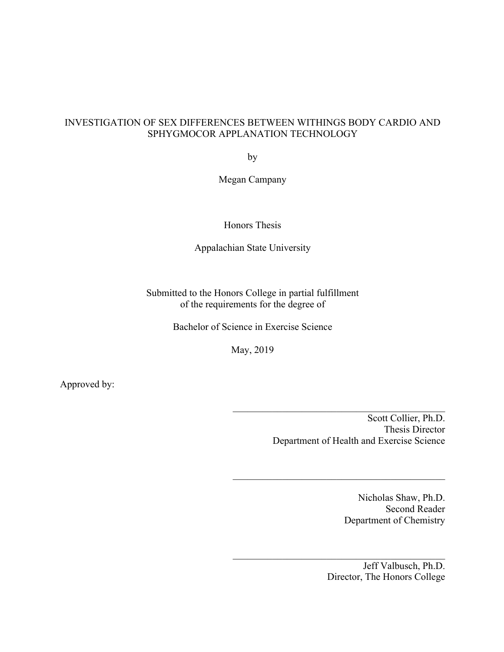# INVESTIGATION OF SEX DIFFERENCES BETWEEN WITHINGS BODY CARDIO AND SPHYGMOCOR APPLANATION TECHNOLOGY

by

Megan Campany

Honors Thesis

Appalachian State University

Submitted to the Honors College in partial fulfillment of the requirements for the degree of

Bachelor of Science in Exercise Science

May, 2019

Approved by:

Scott Collier, Ph.D. Thesis Director Department of Health and Exercise Science

 $\mathcal{L}_\text{max}$  and  $\mathcal{L}_\text{max}$  and  $\mathcal{L}_\text{max}$  and  $\mathcal{L}_\text{max}$ 

Nicholas Shaw, Ph.D. Second Reader Department of Chemistry

Jeff Valbusch, Ph.D. Director, The Honors College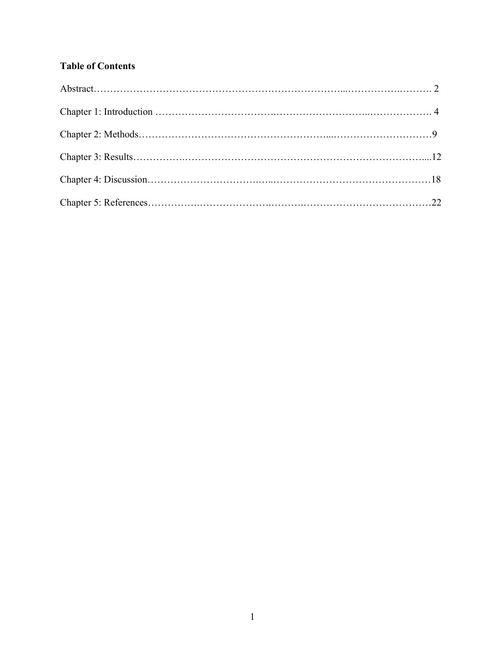# **Table of Contents**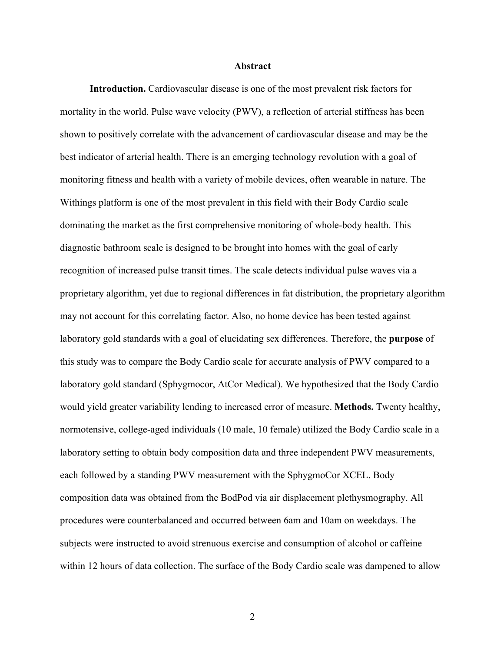#### **Abstract**

**Introduction.** Cardiovascular disease is one of the most prevalent risk factors for mortality in the world. Pulse wave velocity (PWV), a reflection of arterial stiffness has been shown to positively correlate with the advancement of cardiovascular disease and may be the best indicator of arterial health. There is an emerging technology revolution with a goal of monitoring fitness and health with a variety of mobile devices, often wearable in nature. The Withings platform is one of the most prevalent in this field with their Body Cardio scale dominating the market as the first comprehensive monitoring of whole-body health. This diagnostic bathroom scale is designed to be brought into homes with the goal of early recognition of increased pulse transit times. The scale detects individual pulse waves via a proprietary algorithm, yet due to regional differences in fat distribution, the proprietary algorithm may not account for this correlating factor. Also, no home device has been tested against laboratory gold standards with a goal of elucidating sex differences. Therefore, the **purpose** of this study was to compare the Body Cardio scale for accurate analysis of PWV compared to a laboratory gold standard (Sphygmocor, AtCor Medical). We hypothesized that the Body Cardio would yield greater variability lending to increased error of measure. **Methods.** Twenty healthy, normotensive, college-aged individuals (10 male, 10 female) utilized the Body Cardio scale in a laboratory setting to obtain body composition data and three independent PWV measurements, each followed by a standing PWV measurement with the SphygmoCor XCEL. Body composition data was obtained from the BodPod via air displacement plethysmography. All procedures were counterbalanced and occurred between 6am and 10am on weekdays. The subjects were instructed to avoid strenuous exercise and consumption of alcohol or caffeine within 12 hours of data collection. The surface of the Body Cardio scale was dampened to allow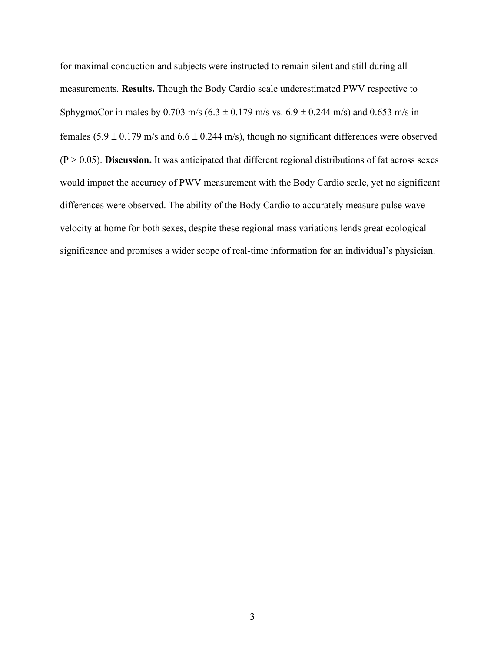for maximal conduction and subjects were instructed to remain silent and still during all measurements. **Results.** Though the Body Cardio scale underestimated PWV respective to SphygmoCor in males by 0.703 m/s ( $6.3 \pm 0.179$  m/s vs.  $6.9 \pm 0.244$  m/s) and 0.653 m/s in females  $(5.9 \pm 0.179 \text{ m/s}$  and  $6.6 \pm 0.244 \text{ m/s}$ , though no significant differences were observed  $(P > 0.05)$ . **Discussion.** It was anticipated that different regional distributions of fat across sexes would impact the accuracy of PWV measurement with the Body Cardio scale, yet no significant differences were observed. The ability of the Body Cardio to accurately measure pulse wave velocity at home for both sexes, despite these regional mass variations lends great ecological significance and promises a wider scope of real-time information for an individual's physician.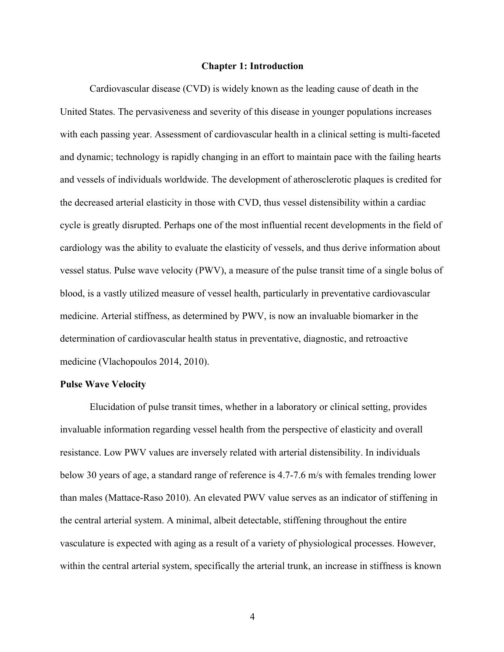## **Chapter 1: Introduction**

Cardiovascular disease (CVD) is widely known as the leading cause of death in the United States. The pervasiveness and severity of this disease in younger populations increases with each passing year. Assessment of cardiovascular health in a clinical setting is multi-faceted and dynamic; technology is rapidly changing in an effort to maintain pace with the failing hearts and vessels of individuals worldwide. The development of atherosclerotic plaques is credited for the decreased arterial elasticity in those with CVD, thus vessel distensibility within a cardiac cycle is greatly disrupted. Perhaps one of the most influential recent developments in the field of cardiology was the ability to evaluate the elasticity of vessels, and thus derive information about vessel status. Pulse wave velocity (PWV), a measure of the pulse transit time of a single bolus of blood, is a vastly utilized measure of vessel health, particularly in preventative cardiovascular medicine. Arterial stiffness, as determined by PWV, is now an invaluable biomarker in the determination of cardiovascular health status in preventative, diagnostic, and retroactive medicine (Vlachopoulos 2014, 2010).

#### **Pulse Wave Velocity**

Elucidation of pulse transit times, whether in a laboratory or clinical setting, provides invaluable information regarding vessel health from the perspective of elasticity and overall resistance. Low PWV values are inversely related with arterial distensibility. In individuals below 30 years of age, a standard range of reference is 4.7-7.6 m/s with females trending lower than males (Mattace-Raso 2010). An elevated PWV value serves as an indicator of stiffening in the central arterial system. A minimal, albeit detectable, stiffening throughout the entire vasculature is expected with aging as a result of a variety of physiological processes. However, within the central arterial system, specifically the arterial trunk, an increase in stiffness is known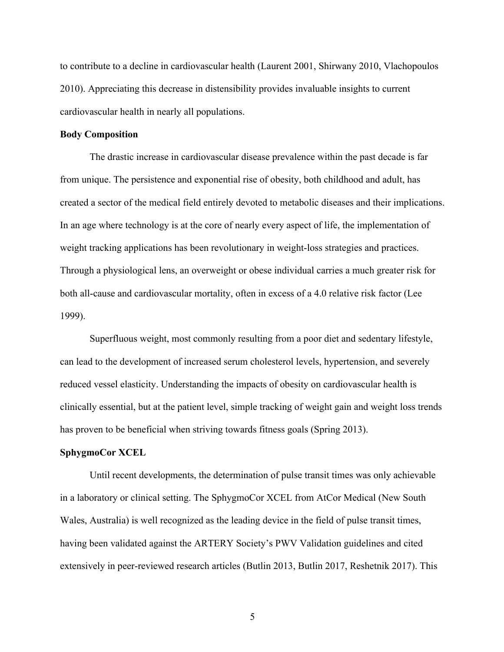to contribute to a decline in cardiovascular health (Laurent 2001, Shirwany 2010, Vlachopoulos 2010). Appreciating this decrease in distensibility provides invaluable insights to current cardiovascular health in nearly all populations.

#### **Body Composition**

The drastic increase in cardiovascular disease prevalence within the past decade is far from unique. The persistence and exponential rise of obesity, both childhood and adult, has created a sector of the medical field entirely devoted to metabolic diseases and their implications. In an age where technology is at the core of nearly every aspect of life, the implementation of weight tracking applications has been revolutionary in weight-loss strategies and practices. Through a physiological lens, an overweight or obese individual carries a much greater risk for both all-cause and cardiovascular mortality, often in excess of a 4.0 relative risk factor (Lee 1999).

Superfluous weight, most commonly resulting from a poor diet and sedentary lifestyle, can lead to the development of increased serum cholesterol levels, hypertension, and severely reduced vessel elasticity. Understanding the impacts of obesity on cardiovascular health is clinically essential, but at the patient level, simple tracking of weight gain and weight loss trends has proven to be beneficial when striving towards fitness goals (Spring 2013).

## **SphygmoCor XCEL**

Until recent developments, the determination of pulse transit times was only achievable in a laboratory or clinical setting. The SphygmoCor XCEL from AtCor Medical (New South Wales, Australia) is well recognized as the leading device in the field of pulse transit times, having been validated against the ARTERY Society's PWV Validation guidelines and cited extensively in peer-reviewed research articles (Butlin 2013, Butlin 2017, Reshetnik 2017). This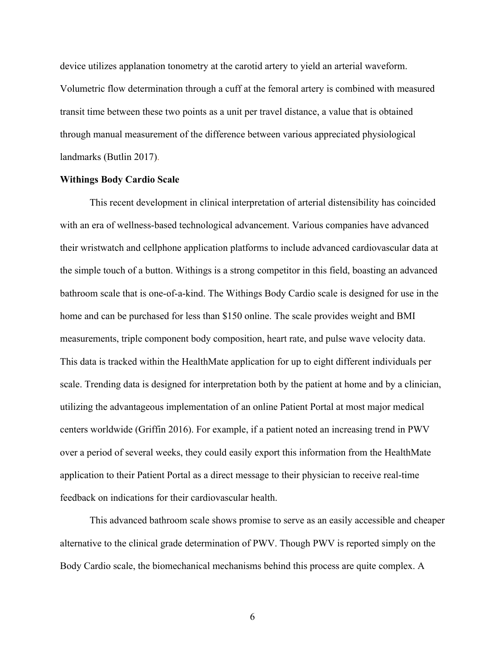device utilizes applanation tonometry at the carotid artery to yield an arterial waveform. Volumetric flow determination through a cuff at the femoral artery is combined with measured transit time between these two points as a unit per travel distance, a value that is obtained through manual measurement of the difference between various appreciated physiological landmarks (Butlin 2017).

#### **Withings Body Cardio Scale**

This recent development in clinical interpretation of arterial distensibility has coincided with an era of wellness-based technological advancement. Various companies have advanced their wristwatch and cellphone application platforms to include advanced cardiovascular data at the simple touch of a button. Withings is a strong competitor in this field, boasting an advanced bathroom scale that is one-of-a-kind. The Withings Body Cardio scale is designed for use in the home and can be purchased for less than \$150 online. The scale provides weight and BMI measurements, triple component body composition, heart rate, and pulse wave velocity data. This data is tracked within the HealthMate application for up to eight different individuals per scale. Trending data is designed for interpretation both by the patient at home and by a clinician, utilizing the advantageous implementation of an online Patient Portal at most major medical centers worldwide (Griffin 2016). For example, if a patient noted an increasing trend in PWV over a period of several weeks, they could easily export this information from the HealthMate application to their Patient Portal as a direct message to their physician to receive real-time feedback on indications for their cardiovascular health.

This advanced bathroom scale shows promise to serve as an easily accessible and cheaper alternative to the clinical grade determination of PWV. Though PWV is reported simply on the Body Cardio scale, the biomechanical mechanisms behind this process are quite complex. A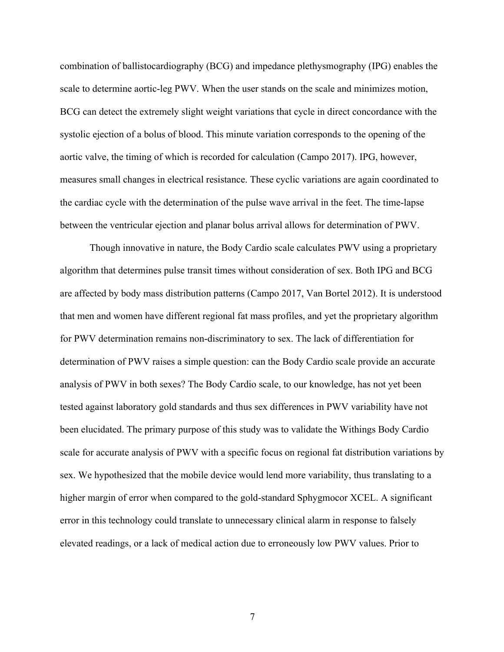combination of ballistocardiography (BCG) and impedance plethysmography (IPG) enables the scale to determine aortic-leg PWV. When the user stands on the scale and minimizes motion, BCG can detect the extremely slight weight variations that cycle in direct concordance with the systolic ejection of a bolus of blood. This minute variation corresponds to the opening of the aortic valve, the timing of which is recorded for calculation (Campo 2017). IPG, however, measures small changes in electrical resistance. These cyclic variations are again coordinated to the cardiac cycle with the determination of the pulse wave arrival in the feet. The time-lapse between the ventricular ejection and planar bolus arrival allows for determination of PWV.

Though innovative in nature, the Body Cardio scale calculates PWV using a proprietary algorithm that determines pulse transit times without consideration of sex. Both IPG and BCG are affected by body mass distribution patterns (Campo 2017, Van Bortel 2012). It is understood that men and women have different regional fat mass profiles, and yet the proprietary algorithm for PWV determination remains non-discriminatory to sex. The lack of differentiation for determination of PWV raises a simple question: can the Body Cardio scale provide an accurate analysis of PWV in both sexes? The Body Cardio scale, to our knowledge, has not yet been tested against laboratory gold standards and thus sex differences in PWV variability have not been elucidated. The primary purpose of this study was to validate the Withings Body Cardio scale for accurate analysis of PWV with a specific focus on regional fat distribution variations by sex. We hypothesized that the mobile device would lend more variability, thus translating to a higher margin of error when compared to the gold-standard Sphygmocor XCEL. A significant error in this technology could translate to unnecessary clinical alarm in response to falsely elevated readings, or a lack of medical action due to erroneously low PWV values. Prior to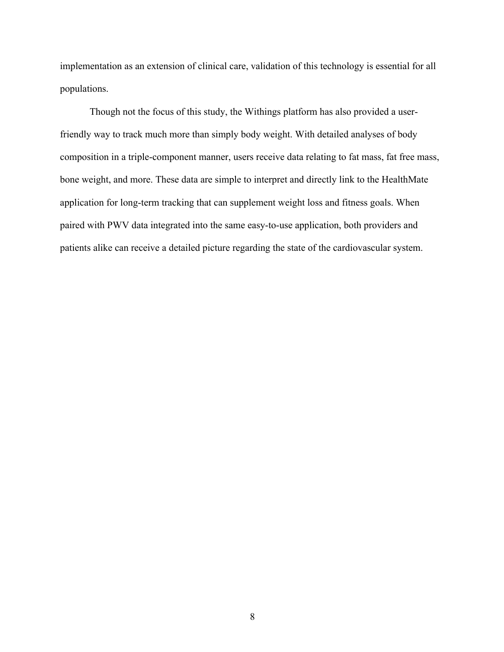implementation as an extension of clinical care, validation of this technology is essential for all populations.

Though not the focus of this study, the Withings platform has also provided a userfriendly way to track much more than simply body weight. With detailed analyses of body composition in a triple-component manner, users receive data relating to fat mass, fat free mass, bone weight, and more. These data are simple to interpret and directly link to the HealthMate application for long-term tracking that can supplement weight loss and fitness goals. When paired with PWV data integrated into the same easy-to-use application, both providers and patients alike can receive a detailed picture regarding the state of the cardiovascular system.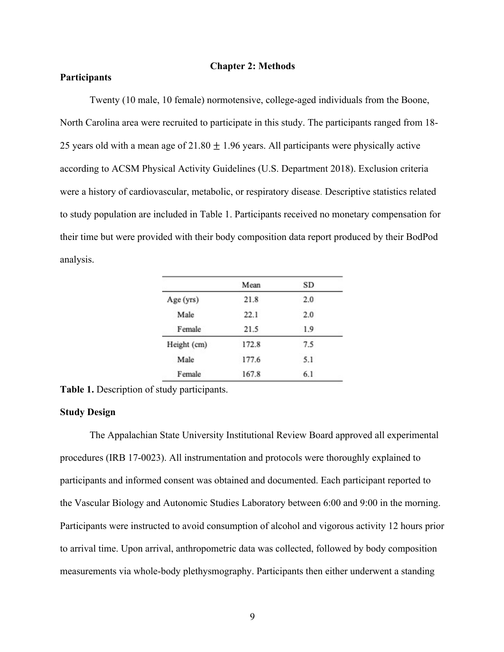## **Chapter 2: Methods**

## **Participants**

Twenty (10 male, 10 female) normotensive, college-aged individuals from the Boone, North Carolina area were recruited to participate in this study. The participants ranged from 18- 25 years old with a mean age of  $21.80 \pm 1.96$  years. All participants were physically active according to ACSM Physical Activity Guidelines (U.S. Department 2018). Exclusion criteria were a history of cardiovascular, metabolic, or respiratory disease. Descriptive statistics related to study population are included in Table 1. Participants received no monetary compensation for their time but were provided with their body composition data report produced by their BodPod analysis.

|             | Mean  | SD  |
|-------------|-------|-----|
| Age (yrs)   | 21.8  | 2.0 |
| Male        | 22.1  | 2.0 |
| Female      | 21.5  | 1.9 |
| Height (cm) | 172.8 | 7.5 |
| Male        | 177.6 | 5.1 |
| Female      | 167.8 | 6.1 |

**Table 1.** Description of study participants.

## **Study Design**

The Appalachian State University Institutional Review Board approved all experimental procedures (IRB 17-0023). All instrumentation and protocols were thoroughly explained to participants and informed consent was obtained and documented. Each participant reported to the Vascular Biology and Autonomic Studies Laboratory between 6:00 and 9:00 in the morning. Participants were instructed to avoid consumption of alcohol and vigorous activity 12 hours prior to arrival time. Upon arrival, anthropometric data was collected, followed by body composition measurements via whole-body plethysmography. Participants then either underwent a standing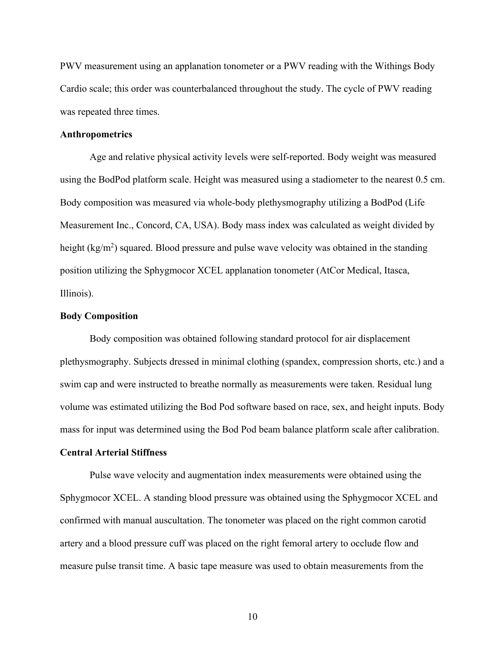PWV measurement using an applanation tonometer or a PWV reading with the Withings Body Cardio scale; this order was counterbalanced throughout the study. The cycle of PWV reading was repeated three times.

#### **Anthropometrics**

Age and relative physical activity levels were self-reported. Body weight was measured using the BodPod platform scale. Height was measured using a stadiometer to the nearest 0.5 cm. Body composition was measured via whole-body plethysmography utilizing a BodPod (Life Measurement Inc., Concord, CA, USA). Body mass index was calculated as weight divided by height (kg/m<sup>2</sup>) squared. Blood pressure and pulse wave velocity was obtained in the standing position utilizing the Sphygmocor XCEL applanation tonometer (AtCor Medical, Itasca, Illinois).

## **Body Composition**

Body composition was obtained following standard protocol for air displacement plethysmography. Subjects dressed in minimal clothing (spandex, compression shorts, etc.) and a swim cap and were instructed to breathe normally as measurements were taken. Residual lung volume was estimated utilizing the Bod Pod software based on race, sex, and height inputs. Body mass for input was determined using the Bod Pod beam balance platform scale after calibration.

## **Central Arterial Stiffness**

Pulse wave velocity and augmentation index measurements were obtained using the Sphygmocor XCEL. A standing blood pressure was obtained using the Sphygmocor XCEL and confirmed with manual auscultation. The tonometer was placed on the right common carotid artery and a blood pressure cuff was placed on the right femoral artery to occlude flow and measure pulse transit time. A basic tape measure was used to obtain measurements from the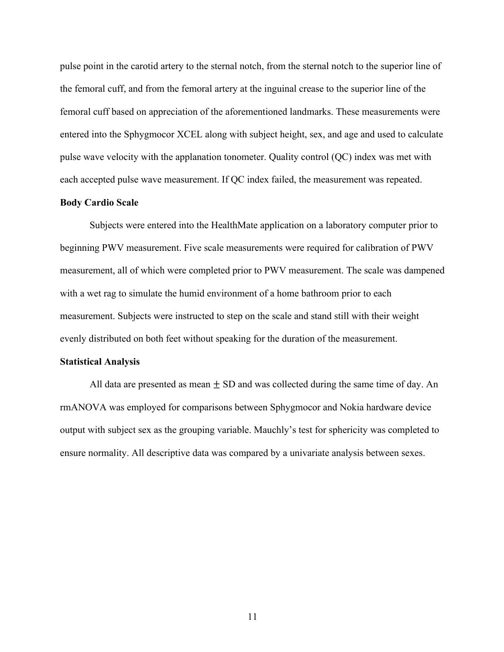pulse point in the carotid artery to the sternal notch, from the sternal notch to the superior line of the femoral cuff, and from the femoral artery at the inguinal crease to the superior line of the femoral cuff based on appreciation of the aforementioned landmarks. These measurements were entered into the Sphygmocor XCEL along with subject height, sex, and age and used to calculate pulse wave velocity with the applanation tonometer. Quality control (QC) index was met with each accepted pulse wave measurement. If QC index failed, the measurement was repeated.

#### **Body Cardio Scale**

Subjects were entered into the HealthMate application on a laboratory computer prior to beginning PWV measurement. Five scale measurements were required for calibration of PWV measurement, all of which were completed prior to PWV measurement. The scale was dampened with a wet rag to simulate the humid environment of a home bathroom prior to each measurement. Subjects were instructed to step on the scale and stand still with their weight evenly distributed on both feet without speaking for the duration of the measurement.

## **Statistical Analysis**

All data are presented as mean  $\pm$  SD and was collected during the same time of day. An rmANOVA was employed for comparisons between Sphygmocor and Nokia hardware device output with subject sex as the grouping variable. Mauchly's test for sphericity was completed to ensure normality. All descriptive data was compared by a univariate analysis between sexes.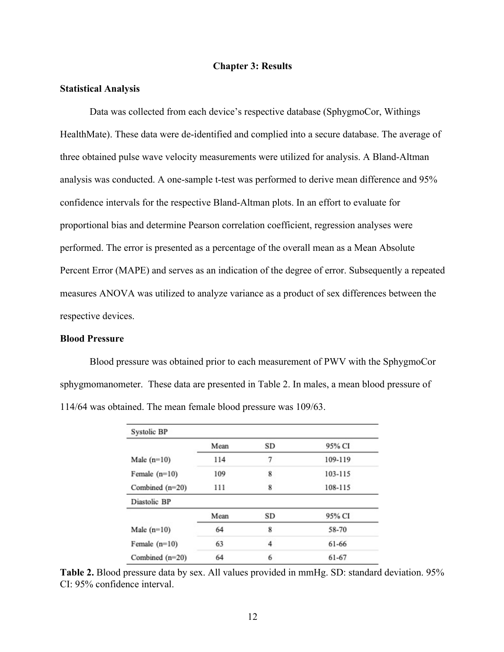## **Chapter 3: Results**

#### **Statistical Analysis**

Data was collected from each device's respective database (SphygmoCor, Withings HealthMate). These data were de-identified and complied into a secure database. The average of three obtained pulse wave velocity measurements were utilized for analysis. A Bland-Altman analysis was conducted. A one-sample t-test was performed to derive mean difference and 95% confidence intervals for the respective Bland-Altman plots. In an effort to evaluate for proportional bias and determine Pearson correlation coefficient, regression analyses were performed. The error is presented as a percentage of the overall mean as a Mean Absolute Percent Error (MAPE) and serves as an indication of the degree of error. Subsequently a repeated measures ANOVA was utilized to analyze variance as a product of sex differences between the respective devices.

## **Blood Pressure**

Blood pressure was obtained prior to each measurement of PWV with the SphygmoCor sphygmomanometer. These data are presented in Table 2. In males, a mean blood pressure of 114/64 was obtained. The mean female blood pressure was 109/63.

| Systolic BP       |      |           |         |
|-------------------|------|-----------|---------|
|                   | Mean | SD        | 95% CI  |
| Male $(n=10)$     | 114  | 7         | 109-119 |
| Female $(n=10)$   | 109  | 8         | 103-115 |
| Combined $(n=20)$ | 111  | 8         | 108-115 |
| Diastolic BP      |      |           |         |
|                   | Mean | <b>SD</b> | 95% CI  |
| Male $(n=10)$     | 64   | 8         | 58-70   |
| Female $(n=10)$   | 63   | 4         | 61-66   |
| Combined $(n=20)$ | 64   | 6         | 61-67   |

**Table 2.** Blood pressure data by sex. All values provided in mmHg. SD: standard deviation. 95% CI: 95% confidence interval.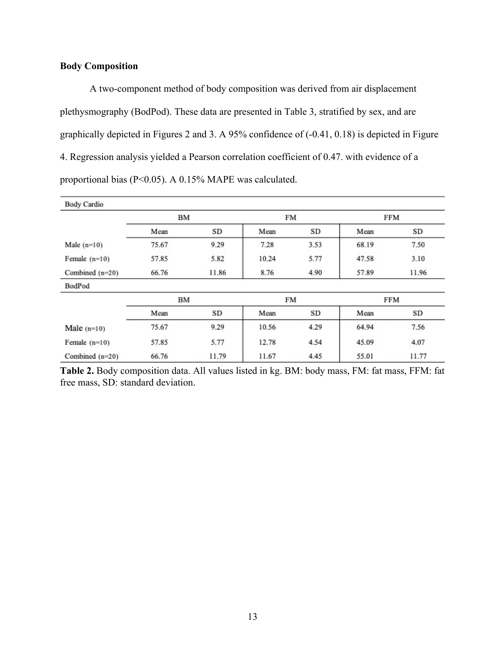# **Body Composition**

A two-component method of body composition was derived from air displacement plethysmography (BodPod). These data are presented in Table 3, stratified by sex, and are graphically depicted in Figures 2 and 3. A 95% confidence of (-0.41, 0.18) is depicted in Figure 4. Regression analysis yielded a Pearson correlation coefficient of 0.47. with evidence of a proportional bias (P<0.05). A 0.15% MAPE was calculated.

| <b>Body Cardio</b> |       |       |           |      |            |       |
|--------------------|-------|-------|-----------|------|------------|-------|
|                    | BM    |       | <b>FM</b> |      | <b>FFM</b> |       |
|                    | Mean  | SD    | Mean      | SD   | Mean       | SD    |
| Male $(n=10)$      | 75.67 | 9.29  | 7.28      | 3.53 | 68.19      | 7.50  |
| Female $(n=10)$    | 57.85 | 5.82  | 10.24     | 5.77 | 47.58      | 3.10  |
| Combined $(n=20)$  | 66.76 | 11.86 | 8.76      | 4.90 | 57.89      | 11.96 |
| BodPod             |       |       |           |      |            |       |
|                    | BМ    |       | FM        |      | FFM        |       |
|                    | Mean  | SD    | Mean      | SD   | Mean       | SD    |
| Male $(n=10)$      | 75.67 | 9.29  | 10.56     | 4.29 | 64.94      | 7.56  |
| Female $(n=10)$    | 57.85 | 5.77  | 12.78     | 4.54 | 45.09      | 4.07  |
| Combined $(n=20)$  | 66.76 | 11.79 | 11.67     | 4.45 | 55.01      | 11.77 |

**Table 2.** Body composition data. All values listed in kg. BM: body mass, FM: fat mass, FFM: fat free mass, SD: standard deviation.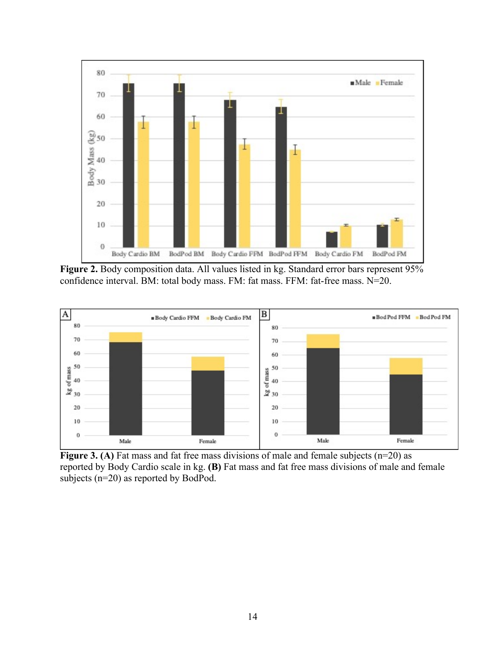

Figure 2. Body composition data. All values listed in kg. Standard error bars represent 95% confidence interval. BM: total body mass. FM: fat mass. FFM: fat-free mass. N=20.



**Figure 3. (A)** Fat mass and fat free mass divisions of male and female subjects (n=20) as reported by Body Cardio scale in kg. **(B)** Fat mass and fat free mass divisions of male and female subjects (n=20) as reported by BodPod.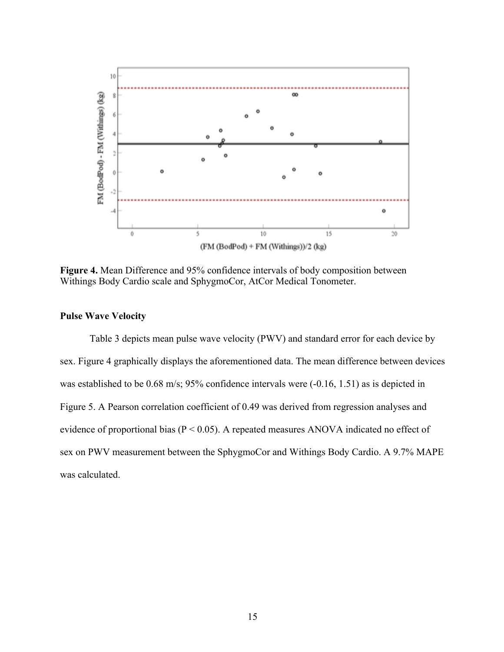

**Figure 4.** Mean Difference and 95% confidence intervals of body composition between Withings Body Cardio scale and SphygmoCor, AtCor Medical Tonometer.

## **Pulse Wave Velocity**

Table 3 depicts mean pulse wave velocity (PWV) and standard error for each device by sex. Figure 4 graphically displays the aforementioned data. The mean difference between devices was established to be 0.68 m/s; 95% confidence intervals were  $(-0.16, 1.51)$  as is depicted in Figure 5. A Pearson correlation coefficient of 0.49 was derived from regression analyses and evidence of proportional bias ( $P < 0.05$ ). A repeated measures ANOVA indicated no effect of sex on PWV measurement between the SphygmoCor and Withings Body Cardio. A 9.7% MAPE was calculated.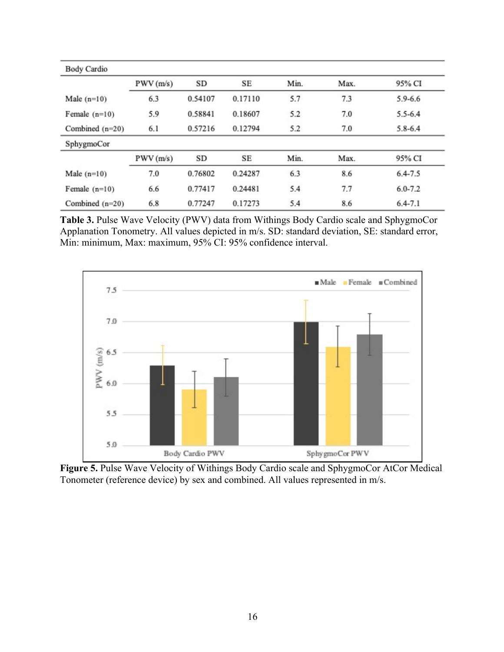| <b>Body Cardio</b> |          |           |         |      |      |             |
|--------------------|----------|-----------|---------|------|------|-------------|
|                    | PWV(m/s) | <b>SD</b> | SЕ      | Min. | Max. | 95% CI      |
| Male $(n=10)$      | 6.3      | 0.54107   | 0.17110 | 5.7  | 7.3  | $5.9 - 6.6$ |
| Female $(n=10)$    | 5.9      | 0.58841   | 0.18607 | 5.2  | 7.0  | $5.5 - 6.4$ |
| Combined $(n=20)$  | 6.1      | 0.57216   | 0.12794 | 5.2  | 7.0  | $5.8 - 6.4$ |
| SphygmoCor         |          |           |         |      |      |             |
|                    | PWV(m/s) | SD        | SE      | Min. | Max. | 95% CI      |
| Male $(n=10)$      | 7.0      | 0.76802   | 0.24287 | 6.3  | 8.6  | $6.4 - 7.5$ |
| Female $(n=10)$    | 6.6      | 0.77417   | 0.24481 | 5.4  | 7.7  | $6.0 - 7.2$ |
| Combined $(n=20)$  | 6.8      | 0.77247   | 0.17273 | 5.4  | 8.6  | $6.4 - 7.1$ |

**Table 3.** Pulse Wave Velocity (PWV) data from Withings Body Cardio scale and SphygmoCor Applanation Tonometry. All values depicted in m/s. SD: standard deviation, SE: standard error, Min: minimum, Max: maximum, 95% CI: 95% confidence interval.



Figure 5. Pulse Wave Velocity of Withings Body Cardio scale and SphygmoCor AtCor Medical Tonometer (reference device) by sex and combined. All values represented in m/s.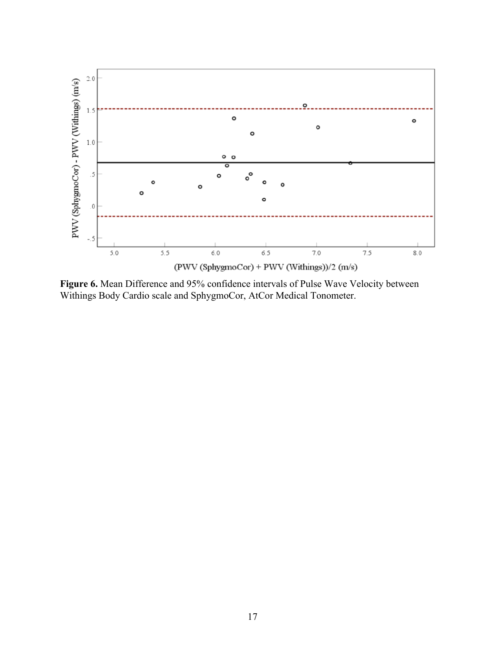

**Figure 6.** Mean Difference and 95% confidence intervals of Pulse Wave Velocity between Withings Body Cardio scale and SphygmoCor, AtCor Medical Tonometer.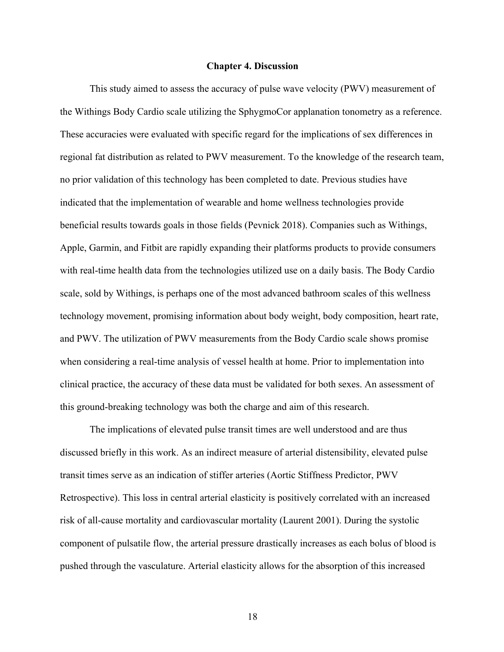#### **Chapter 4. Discussion**

This study aimed to assess the accuracy of pulse wave velocity (PWV) measurement of the Withings Body Cardio scale utilizing the SphygmoCor applanation tonometry as a reference. These accuracies were evaluated with specific regard for the implications of sex differences in regional fat distribution as related to PWV measurement. To the knowledge of the research team, no prior validation of this technology has been completed to date. Previous studies have indicated that the implementation of wearable and home wellness technologies provide beneficial results towards goals in those fields (Pevnick 2018). Companies such as Withings, Apple, Garmin, and Fitbit are rapidly expanding their platforms products to provide consumers with real-time health data from the technologies utilized use on a daily basis. The Body Cardio scale, sold by Withings, is perhaps one of the most advanced bathroom scales of this wellness technology movement, promising information about body weight, body composition, heart rate, and PWV. The utilization of PWV measurements from the Body Cardio scale shows promise when considering a real-time analysis of vessel health at home. Prior to implementation into clinical practice, the accuracy of these data must be validated for both sexes. An assessment of this ground-breaking technology was both the charge and aim of this research.

The implications of elevated pulse transit times are well understood and are thus discussed briefly in this work. As an indirect measure of arterial distensibility, elevated pulse transit times serve as an indication of stiffer arteries (Aortic Stiffness Predictor, PWV Retrospective). This loss in central arterial elasticity is positively correlated with an increased risk of all-cause mortality and cardiovascular mortality (Laurent 2001). During the systolic component of pulsatile flow, the arterial pressure drastically increases as each bolus of blood is pushed through the vasculature. Arterial elasticity allows for the absorption of this increased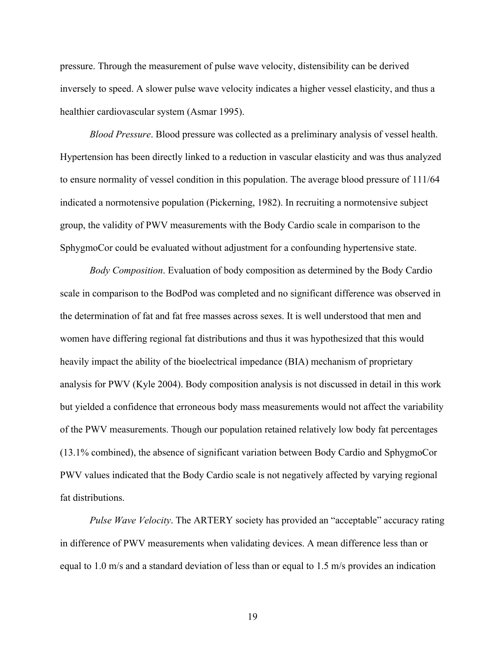pressure. Through the measurement of pulse wave velocity, distensibility can be derived inversely to speed. A slower pulse wave velocity indicates a higher vessel elasticity, and thus a healthier cardiovascular system (Asmar 1995).

*Blood Pressure*. Blood pressure was collected as a preliminary analysis of vessel health. Hypertension has been directly linked to a reduction in vascular elasticity and was thus analyzed to ensure normality of vessel condition in this population. The average blood pressure of 111/64 indicated a normotensive population (Pickerning, 1982). In recruiting a normotensive subject group, the validity of PWV measurements with the Body Cardio scale in comparison to the SphygmoCor could be evaluated without adjustment for a confounding hypertensive state.

*Body Composition*. Evaluation of body composition as determined by the Body Cardio scale in comparison to the BodPod was completed and no significant difference was observed in the determination of fat and fat free masses across sexes. It is well understood that men and women have differing regional fat distributions and thus it was hypothesized that this would heavily impact the ability of the bioelectrical impedance (BIA) mechanism of proprietary analysis for PWV (Kyle 2004). Body composition analysis is not discussed in detail in this work but yielded a confidence that erroneous body mass measurements would not affect the variability of the PWV measurements. Though our population retained relatively low body fat percentages (13.1% combined), the absence of significant variation between Body Cardio and SphygmoCor PWV values indicated that the Body Cardio scale is not negatively affected by varying regional fat distributions.

*Pulse Wave Velocity*. The ARTERY society has provided an "acceptable" accuracy rating in difference of PWV measurements when validating devices. A mean difference less than or equal to 1.0 m/s and a standard deviation of less than or equal to 1.5 m/s provides an indication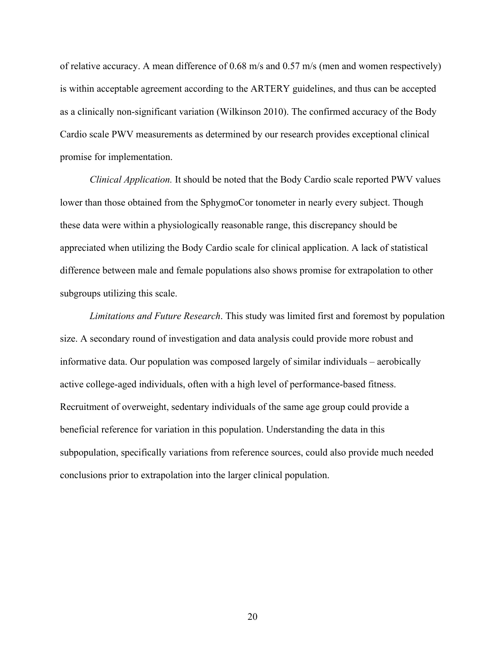of relative accuracy. A mean difference of 0.68 m/s and 0.57 m/s (men and women respectively) is within acceptable agreement according to the ARTERY guidelines, and thus can be accepted as a clinically non-significant variation (Wilkinson 2010). The confirmed accuracy of the Body Cardio scale PWV measurements as determined by our research provides exceptional clinical promise for implementation.

*Clinical Application.* It should be noted that the Body Cardio scale reported PWV values lower than those obtained from the SphygmoCor tonometer in nearly every subject. Though these data were within a physiologically reasonable range, this discrepancy should be appreciated when utilizing the Body Cardio scale for clinical application. A lack of statistical difference between male and female populations also shows promise for extrapolation to other subgroups utilizing this scale.

*Limitations and Future Research*. This study was limited first and foremost by population size. A secondary round of investigation and data analysis could provide more robust and informative data. Our population was composed largely of similar individuals – aerobically active college-aged individuals, often with a high level of performance-based fitness. Recruitment of overweight, sedentary individuals of the same age group could provide a beneficial reference for variation in this population. Understanding the data in this subpopulation, specifically variations from reference sources, could also provide much needed conclusions prior to extrapolation into the larger clinical population.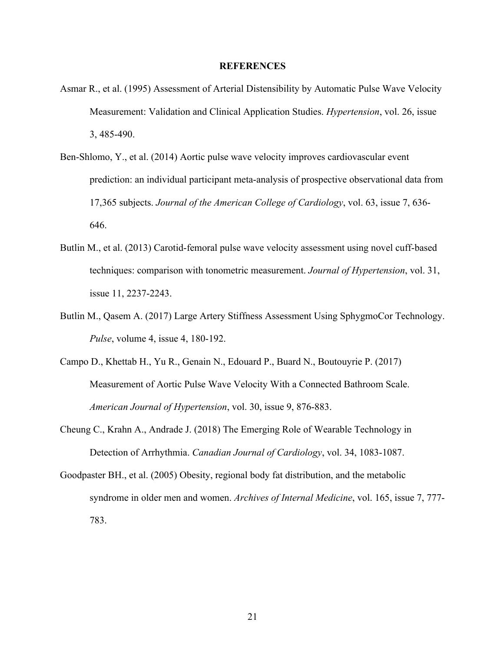#### **REFERENCES**

- Asmar R., et al. (1995) Assessment of Arterial Distensibility by Automatic Pulse Wave Velocity Measurement: Validation and Clinical Application Studies. *Hypertension*, vol. 26, issue 3, 485-490.
- Ben-Shlomo, Y., et al. (2014) Aortic pulse wave velocity improves cardiovascular event prediction: an individual participant meta-analysis of prospective observational data from 17,365 subjects. *Journal of the American College of Cardiology*, vol. 63, issue 7, 636- 646.
- Butlin M., et al. (2013) Carotid-femoral pulse wave velocity assessment using novel cuff-based techniques: comparison with tonometric measurement. *Journal of Hypertension*, vol. 31, issue 11, 2237-2243.
- Butlin M., Qasem A. (2017) Large Artery Stiffness Assessment Using SphygmoCor Technology. *Pulse*, volume 4, issue 4, 180-192.
- Campo D., Khettab H., Yu R., Genain N., Edouard P., Buard N., Boutouyrie P. (2017) Measurement of Aortic Pulse Wave Velocity With a Connected Bathroom Scale. *American Journal of Hypertension*, vol. 30, issue 9, 876-883.
- Cheung C., Krahn A., Andrade J. (2018) The Emerging Role of Wearable Technology in Detection of Arrhythmia. *Canadian Journal of Cardiology*, vol. 34, 1083-1087.
- Goodpaster BH., et al. (2005) Obesity, regional body fat distribution, and the metabolic syndrome in older men and women. *Archives of Internal Medicine*, vol. 165, issue 7, 777- 783.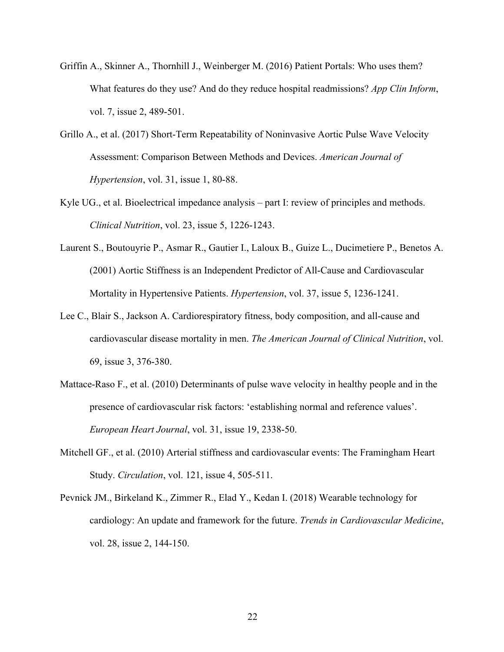- Griffin A., Skinner A., Thornhill J., Weinberger M. (2016) Patient Portals: Who uses them? What features do they use? And do they reduce hospital readmissions? *App Clin Inform*, vol. 7, issue 2, 489-501.
- Grillo A., et al. (2017) Short-Term Repeatability of Noninvasive Aortic Pulse Wave Velocity Assessment: Comparison Between Methods and Devices. *American Journal of Hypertension*, vol. 31, issue 1, 80-88.
- Kyle UG., et al. Bioelectrical impedance analysis part I: review of principles and methods. *Clinical Nutrition*, vol. 23, issue 5, 1226-1243.
- Laurent S., Boutouyrie P., Asmar R., Gautier I., Laloux B., Guize L., Ducimetiere P., Benetos A. (2001) Aortic Stiffness is an Independent Predictor of All-Cause and Cardiovascular Mortality in Hypertensive Patients. *Hypertension*, vol. 37, issue 5, 1236-1241.
- Lee C., Blair S., Jackson A. Cardiorespiratory fitness, body composition, and all-cause and cardiovascular disease mortality in men. *The American Journal of Clinical Nutrition*, vol. 69, issue 3, 376-380.
- Mattace-Raso F., et al. (2010) Determinants of pulse wave velocity in healthy people and in the presence of cardiovascular risk factors: 'establishing normal and reference values'. *European Heart Journal*, vol. 31, issue 19, 2338-50.
- Mitchell GF., et al. (2010) Arterial stiffness and cardiovascular events: The Framingham Heart Study. *Circulation*, vol. 121, issue 4, 505-511.
- Pevnick JM., Birkeland K., Zimmer R., Elad Y., Kedan I. (2018) Wearable technology for cardiology: An update and framework for the future. *Trends in Cardiovascular Medicine*, vol. 28, issue 2, 144-150.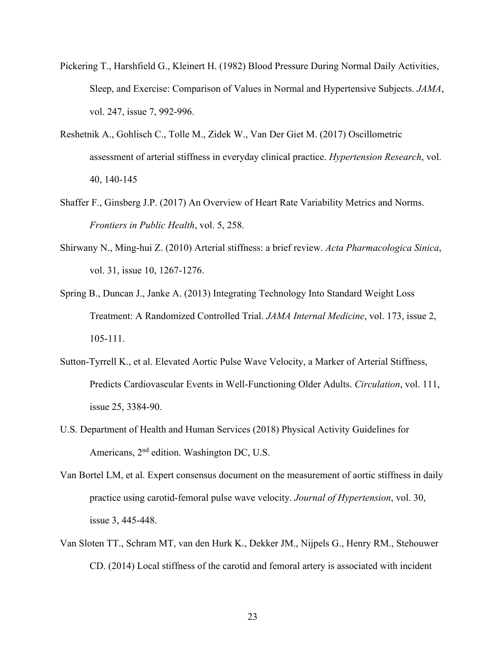- Pickering T., Harshfield G., Kleinert H. (1982) Blood Pressure During Normal Daily Activities, Sleep, and Exercise: Comparison of Values in Normal and Hypertensive Subjects. *JAMA*, vol. 247, issue 7, 992-996.
- Reshetnik A., Gohlisch C., Tolle M., Zidek W., Van Der Giet M. (2017) Oscillometric assessment of arterial stiffness in everyday clinical practice. *Hypertension Research*, vol. 40, 140-145
- Shaffer F., Ginsberg J.P. (2017) An Overview of Heart Rate Variability Metrics and Norms. *Frontiers in Public Health*, vol. 5, 258.
- Shirwany N., Ming-hui Z. (2010) Arterial stiffness: a brief review. *Acta Pharmacologica Sinica*, vol. 31, issue 10, 1267-1276.
- Spring B., Duncan J., Janke A. (2013) Integrating Technology Into Standard Weight Loss Treatment: A Randomized Controlled Trial. *JAMA Internal Medicine*, vol. 173, issue 2, 105-111.
- Sutton-Tyrrell K., et al. Elevated Aortic Pulse Wave Velocity, a Marker of Arterial Stiffness, Predicts Cardiovascular Events in Well-Functioning Older Adults. *Circulation*, vol. 111, issue 25, 3384-90.
- U.S. Department of Health and Human Services (2018) Physical Activity Guidelines for Americans, 2nd edition. Washington DC, U.S.
- Van Bortel LM, et al. Expert consensus document on the measurement of aortic stiffness in daily practice using carotid-femoral pulse wave velocity. *Journal of Hypertension*, vol. 30, issue 3, 445-448.
- Van Sloten TT., Schram MT, van den Hurk K., Dekker JM., Nijpels G., Henry RM., Stehouwer CD. (2014) Local stiffness of the carotid and femoral artery is associated with incident